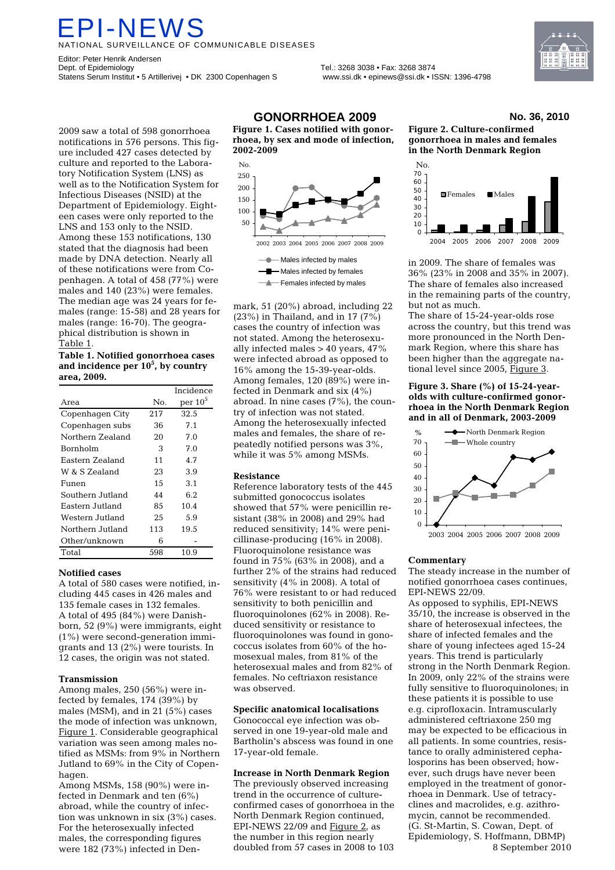# PI-NEV

TIONAL SURVEILLANCE OF COMMUNICABLE DISEASES

Editor: Peter Henrik Andersen Dept. of Epidemiology Tel.: 3268 3038 • Fax: 3268 3874 Statens Serum Institut • 5 Artillerivej • DK 2300 Copenhagen S www.ssi.dk • epinews@ssi.dk • ISSN: 1396-4798



2009 saw a total of 598 gonorrhoea notifications in 576 persons. This figure included 427 cases detected by culture and reported to the Laboratory Notification System (LNS) as well as to the Notification System for Infectious Diseases (NSID) at the Department of Epidemiology. Eighteen cases were only reported to the LNS and 153 only to the NSID. Among these 153 notifications, 130 stated that the diagnosis had been made by DNA detection. Nearly all of these notifications were from Copenhagen. A total of 458 (77%) were males and 140 (23%) were females. The median age was 24 years for females (range: 15-58) and 28 years for males (range: 16-70). The geographical distribution is shown in Table 1.

#### **Table 1. Notified gonorrhoea cases and incidence per 105 , by country area, 2009.**

|                  |     | Incidence  |
|------------------|-----|------------|
| Area             | No. | per $10^5$ |
| Copenhagen City  | 217 | 32.5       |
| Copenhagen subs  | 36  | 7.1        |
| Northern Zealand | 20  | 7.0        |
| <b>Bornholm</b>  | 3   | 7.0        |
| Eastern Zealand  | 11  | 4.7        |
| W & S Zealand    | 23  | 3.9        |
| Funen            | 1.5 | 3.1        |
| Southern Jutland | 44  | 6.2        |
| Eastern Jutland  | 85  | 10.4       |
| Western Jutland  | 25  | 5.9        |
| Northern Jutland | 113 | 19.5       |
| Other/unknown    | 6   |            |
| Total            | 598 | 10.9       |

### **Notified cases**

A total of 580 cases were notified, including 445 cases in 426 males and 135 female cases in 132 females. A total of 495 (84%) were Danishborn, 52 (9%) were immigrants, eight (1%) were second-generation immigrants and 13 (2%) were tourists. In 12 cases, the origin was not stated.

### **Transmission**

Among males, 250 (56%) were infected by females, 174 (39%) by males (MSM), and in 21 (5%) cases the mode of infection was unknown, Figure 1. Considerable geographical variation was seen among males notified as MSMs: from 9% in Northern Jutland to 69% in the City of Copenhagen.

Among MSMs, 158 (90%) were infected in Denmark and ten (6%) abroad, while the country of infection was unknown in six (3%) cases. For the heterosexually infected males, the corresponding figures were 182 (73%) infected in Den-

## **GONORRHOEA 2009 No. 36, 2010**

**Figure 1. Cases notified with gonorrhoea, by sex and mode of infection, 2002-2009** 



- Males infected by females

 $\leftarrow$  Females infected by males

mark, 51 (20%) abroad, including 22 (23%) in Thailand, and in 17 (7%) cases the country of infection was not stated. Among the heterosexually infected males > 40 years, 47% were infected abroad as opposed to 16% among the 15-39-year-olds. Among females, 120 (89%) were infected in Denmark and six (4%) abroad. In nine cases (7%), the country of infection was not stated. Among the heterosexually infected males and females, the share of repeatedly notified persons was 3%, while it was 5% among MSMs.

### **Resistance**

Reference laboratory tests of the 445 submitted gonococcus isolates showed that 57% were penicillin resistant (38% in 2008) and 29% had reduced sensitivity; 14% were penicillinase-producing (16% in 2008). Fluoroquinolone resistance was found in 75% (63% in 2008), and a further 2% of the strains had reduced sensitivity (4% in 2008). A total of 76% were resistant to or had reduced sensitivity to both penicillin and fluoroquinolones (62% in 2008). Reduced sensitivity or resistance to fluoroquinolones was found in gonococcus isolates from 60% of the homosexual males, from 81% of the heterosexual males and from 82% of females. No ceftriaxon resistance was observed.

### **Specific anatomical localisations**

Gonococcal eye infection was observed in one 19-year-old male and Bartholin's abscess was found in one 17-year-old female.

#### **Increase in North Denmark Region**

The previously observed increasing trend in the occurrence of cultureconfirmed cases of gonorrhoea in the North Denmark Region continued, EPI-NEWS 22/09 and Figure 2, as the number in this region nearly doubled from 57 cases in 2008 to 103



**Figure 2. Culture-confirmed gonorrhoea in males and females in the North Denmark Region** 



in 2009. The share of females was 36% (23% in 2008 and 35% in 2007). The share of females also increased in the remaining parts of the country, but not as much.

The share of 15-24-year-olds rose across the country, but this trend was more pronounced in the North Denmark Region, where this share has been higher than the aggregate national level since 2005, Figure 3.

#### **Figure 3. Share (%) of 15-24-yearolds with culture-confirmed gonorrhoea in the North Denmark Region and in all of Denmark, 2003-2009**



### **Commentary**

The steady increase in the number of notified gonorrhoea cases continues, EPI-NEWS 22/09.

As opposed to syphilis, EPI-NEWS 35/10, the increase is observed in the share of heterosexual infectees, the share of infected females and the share of young infectees aged 15-24 years. This trend is particularly strong in the North Denmark Region. In 2009, only 22% of the strains were fully sensitive to fluoroquinolones; in these patients it is possible to use e.g. ciprofloxacin. Intramuscularly administered ceftriaxone 250 mg may be expected to be efficacious in all patients. In some countries, resistance to orally administered cephalosporins has been observed; however, such drugs have never been employed in the treatment of gonorrhoea in Denmark. Use of tetracyclines and macrolides, e.g. azithromycin, cannot be recommended. (G. St-Martin, S. Cowan, Dept. of Epidemiology, S. Hoffmann, DBMP) 8 September 2010